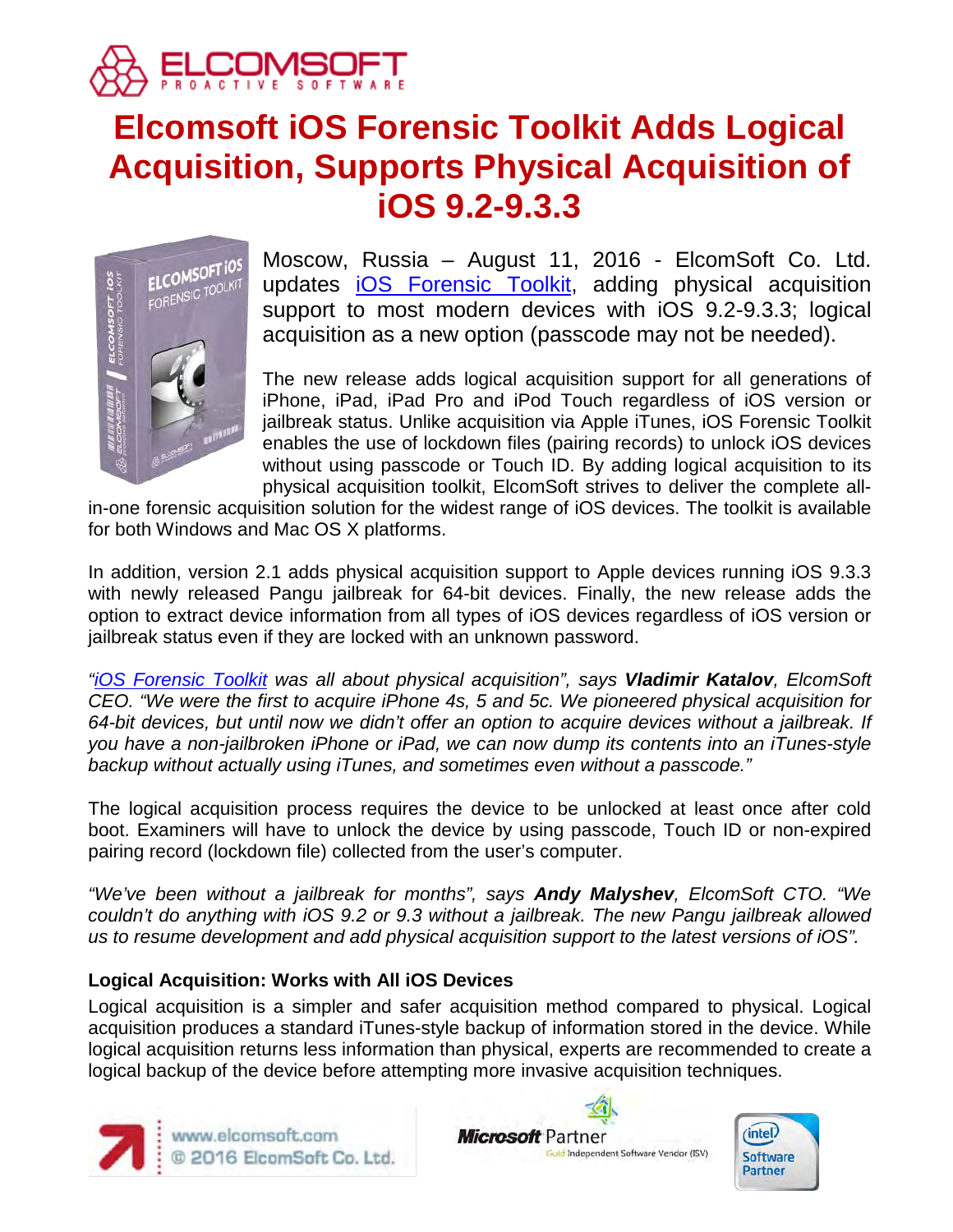

# **Elcomsoft iOS Forensic Toolkit Adds Logical Acquisition, Supports Physical Acquisition of iOS 9.2-9.3.3**



Moscow, Russia – August 11, 2016 - ElcomSoft Co. Ltd. updates [iOS Forensic Toolkit,](https://www.elcomsoft.com/eift.html) adding physical acquisition support to most modern devices with iOS 9.2-9.3.3; logical acquisition as a new option (passcode may not be needed).

The new release adds logical acquisition support for all generations of iPhone, iPad, iPad Pro and iPod Touch regardless of iOS version or jailbreak status. Unlike acquisition via Apple iTunes, iOS Forensic Toolkit enables the use of lockdown files (pairing records) to unlock iOS devices without using passcode or Touch ID. By adding logical acquisition to its physical acquisition toolkit, ElcomSoft strives to deliver the complete all-

in-one forensic acquisition solution for the widest range of iOS devices. The toolkit is available for both Windows and Mac OS X platforms.

In addition, version 2.1 adds physical acquisition support to Apple devices running iOS 9.3.3 with newly released Pangu jailbreak for 64-bit devices. Finally, the new release adds the option to extract device information from all types of iOS devices regardless of iOS version or jailbreak status even if they are locked with an unknown password.

*["iOS Forensic Toolkit](https://www.elcomsoft.com/eift.html) was all about physical acquisition", says Vladimir Katalov, ElcomSoft CEO. "We were the first to acquire iPhone 4s, 5 and 5c. We pioneered physical acquisition for 64-bit devices, but until now we didn't offer an option to acquire devices without a jailbreak. If you have a non-jailbroken iPhone or iPad, we can now dump its contents into an iTunes-style backup without actually using iTunes, and sometimes even without a passcode."*

The logical acquisition process requires the device to be unlocked at least once after cold boot. Examiners will have to unlock the device by using passcode, Touch ID or non-expired pairing record (lockdown file) collected from the user's computer.

*"We've been without a jailbreak for months", says Andy Malyshev, ElcomSoft CTO. "We couldn't do anything with iOS 9.2 or 9.3 without a jailbreak. The new Pangu jailbreak allowed us to resume development and add physical acquisition support to the latest versions of iOS".*

## **Logical Acquisition: Works with All iOS Devices**

Logical acquisition is a simpler and safer acquisition method compared to physical. Logical acquisition produces a standard iTunes-style backup of information stored in the device. While logical acquisition returns less information than physical, experts are recommended to create a logical backup of the device before attempting more invasive acquisition techniques.





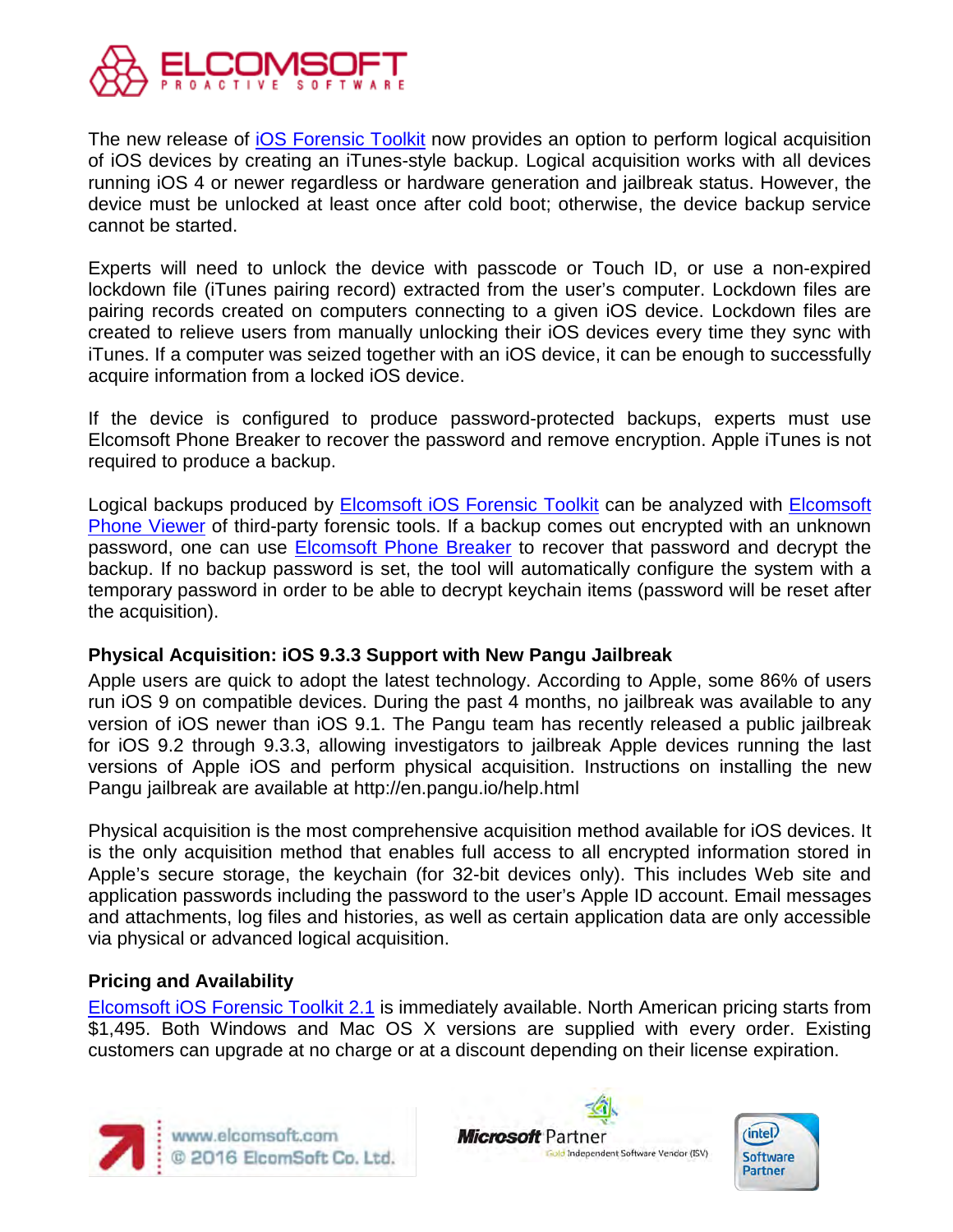

The new release of [iOS Forensic Toolkit](https://www.elcomsoft.com/eift.html) now provides an option to perform logical acquisition of iOS devices by creating an iTunes-style backup. Logical acquisition works with all devices running iOS 4 or newer regardless or hardware generation and jailbreak status. However, the device must be unlocked at least once after cold boot; otherwise, the device backup service cannot be started.

Experts will need to unlock the device with passcode or Touch ID, or use a non-expired lockdown file (iTunes pairing record) extracted from the user's computer. Lockdown files are pairing records created on computers connecting to a given iOS device. Lockdown files are created to relieve users from manually unlocking their iOS devices every time they sync with iTunes. If a computer was seized together with an iOS device, it can be enough to successfully acquire information from a locked iOS device.

If the device is configured to produce password-protected backups, experts must use Elcomsoft Phone Breaker to recover the password and remove encryption. Apple iTunes is not required to produce a backup.

Logical backups produced by **Elcomsoft iOS Forensic Toolkit** can be analyzed with **Elcomsoft** [Phone Viewer](https://www.elcomsoft.com/epv.html) of third-party forensic tools. If a backup comes out encrypted with an unknown password, one can use [Elcomsoft Phone Breaker](https://www.elcomsoft.com/eppb.html) to recover that password and decrypt the backup. If no backup password is set, the tool will automatically configure the system with a temporary password in order to be able to decrypt keychain items (password will be reset after the acquisition).

#### **Physical Acquisition: iOS 9.3.3 Support with New Pangu Jailbreak**

Apple users are quick to adopt the latest technology. According to Apple, some 86% of users run iOS 9 on compatible devices. During the past 4 months, no jailbreak was available to any version of iOS newer than iOS 9.1. The Pangu team has recently released a public jailbreak for iOS 9.2 through 9.3.3, allowing investigators to jailbreak Apple devices running the last versions of Apple iOS and perform physical acquisition. Instructions on installing the new Pangu jailbreak are available at http://en.pangu.io/help.html

Physical acquisition is the most comprehensive acquisition method available for iOS devices. It is the only acquisition method that enables full access to all encrypted information stored in Apple's secure storage, the keychain (for 32-bit devices only). This includes Web site and application passwords including the password to the user's Apple ID account. Email messages and attachments, log files and histories, as well as certain application data are only accessible via physical or advanced logical acquisition.

#### **Pricing and Availability**

[Elcomsoft iOS Forensic Toolkit 2.1](https://www.elcomsoft.com/eift.html) is immediately available. North American pricing starts from \$1,495. Both Windows and Mac OS X versions are supplied with every order. Existing customers can upgrade at no charge or at a discount depending on their license expiration.